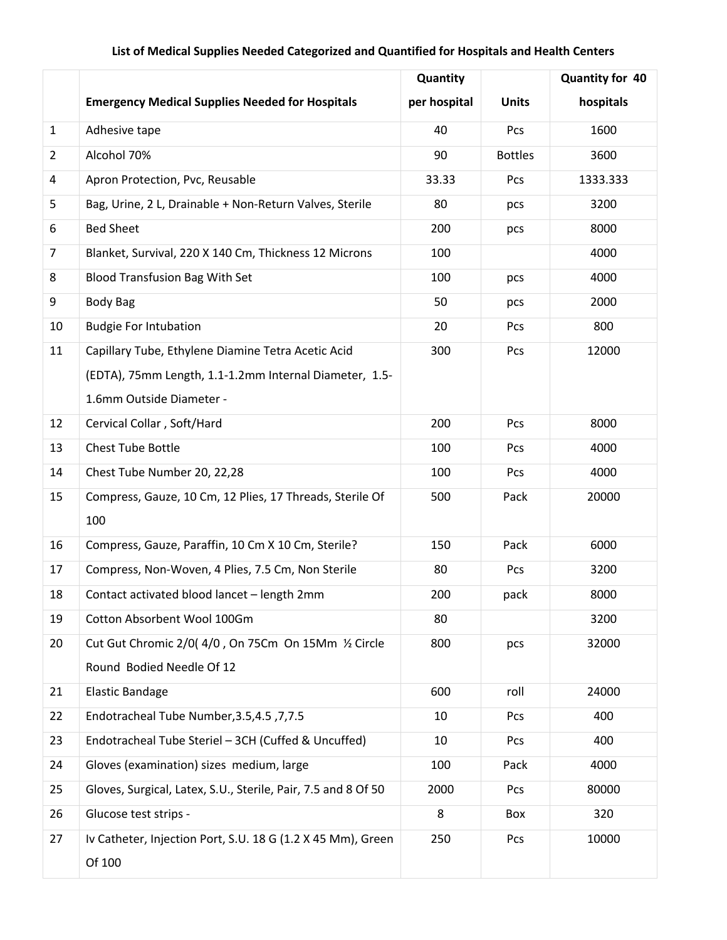## **List of Medical Supplies Needed Categorized and Quantified for Hospitals and Health Centers**

|                         |                                                               | Quantity     |                | <b>Quantity for 40</b> |
|-------------------------|---------------------------------------------------------------|--------------|----------------|------------------------|
|                         | <b>Emergency Medical Supplies Needed for Hospitals</b>        | per hospital | <b>Units</b>   | hospitals              |
| $\mathbf{1}$            | Adhesive tape                                                 | 40           | Pcs            | 1600                   |
| $\overline{2}$          | Alcohol 70%                                                   | 90           | <b>Bottles</b> | 3600                   |
| $\overline{\mathbf{4}}$ | Apron Protection, Pvc, Reusable                               | 33.33        | Pcs            | 1333.333               |
| 5                       | Bag, Urine, 2 L, Drainable + Non-Return Valves, Sterile       | 80           | pcs            | 3200                   |
| 6                       | <b>Bed Sheet</b>                                              | 200          | pcs            | 8000                   |
| $\overline{7}$          | Blanket, Survival, 220 X 140 Cm, Thickness 12 Microns         | 100          |                | 4000                   |
| 8                       | <b>Blood Transfusion Bag With Set</b>                         | 100          | pcs            | 4000                   |
| 9                       | <b>Body Bag</b>                                               | 50           | pcs            | 2000                   |
| 10                      | <b>Budgie For Intubation</b>                                  | 20           | Pcs            | 800                    |
| 11                      | Capillary Tube, Ethylene Diamine Tetra Acetic Acid            | 300          | Pcs            | 12000                  |
|                         | (EDTA), 75mm Length, 1.1-1.2mm Internal Diameter, 1.5-        |              |                |                        |
|                         | 1.6mm Outside Diameter -                                      |              |                |                        |
| 12                      | Cervical Collar, Soft/Hard                                    | 200          | Pcs            | 8000                   |
| 13                      | <b>Chest Tube Bottle</b>                                      | 100          | Pcs            | 4000                   |
| 14                      | Chest Tube Number 20, 22,28                                   | 100          | Pcs            | 4000                   |
| 15                      | Compress, Gauze, 10 Cm, 12 Plies, 17 Threads, Sterile Of      | 500          | Pack           | 20000                  |
|                         | 100                                                           |              |                |                        |
| 16                      | Compress, Gauze, Paraffin, 10 Cm X 10 Cm, Sterile?            | 150          | Pack           | 6000                   |
| 17                      | Compress, Non-Woven, 4 Plies, 7.5 Cm, Non Sterile             | 80           | Pcs            | 3200                   |
| 18                      | Contact activated blood lancet - length 2mm                   | 200          | pack           | 8000                   |
| 19                      | Cotton Absorbent Wool 100Gm                                   | 80           |                | 3200                   |
| 20                      | Cut Gut Chromic 2/0(4/0, On 75Cm On 15Mm 1/2 Circle           | 800          | pcs            | 32000                  |
|                         | Round Bodied Needle Of 12                                     |              |                |                        |
| 21                      | <b>Elastic Bandage</b>                                        | 600          | roll           | 24000                  |
| 22                      | Fndotracheal Tube Number, 3.5, 4.5, 7, 7.5                    | 10           | Pcs            | 400                    |
| 23                      | Endotracheal Tube Steriel - 3CH (Cuffed & Uncuffed)           | 10           | Pcs            | 400                    |
| 24                      | Gloves (examination) sizes medium, large                      | 100          | Pack           | 4000                   |
| 25                      | Gloves, Surgical, Latex, S.U., Sterile, Pair, 7.5 and 8 Of 50 | 2000         | Pcs            | 80000                  |
| 26                      | Glucose test strips -                                         | 8            | Box            | 320                    |
| 27                      | Iv Catheter, Injection Port, S.U. 18 G (1.2 X 45 Mm), Green   | 250          | Pcs            | 10000                  |
|                         | Of 100                                                        |              |                |                        |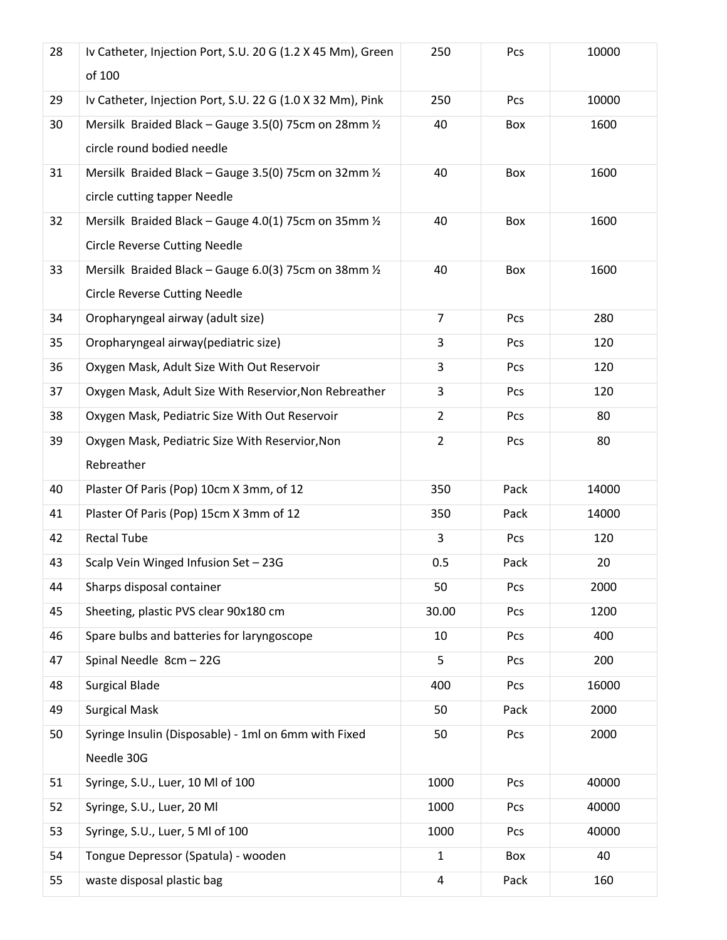| 28 | Iv Catheter, Injection Port, S.U. 20 G (1.2 X 45 Mm), Green<br>of 100                                   | 250            | Pcs  | 10000 |
|----|---------------------------------------------------------------------------------------------------------|----------------|------|-------|
| 29 | Iv Catheter, Injection Port, S.U. 22 G (1.0 X 32 Mm), Pink                                              | 250            | Pcs  | 10000 |
| 30 | Mersilk Braided Black - Gauge 3.5(0) 75cm on 28mm 1/2<br>circle round bodied needle                     | 40             | Box  | 1600  |
| 31 | Mersilk Braided Black - Gauge 3.5(0) 75cm on 32mm 1/2<br>circle cutting tapper Needle                   | 40             | Box  | 1600  |
| 32 | Mersilk Braided Black - Gauge 4.0(1) 75cm on 35mm $\frac{1}{2}$<br><b>Circle Reverse Cutting Needle</b> | 40             | Box  | 1600  |
| 33 | Mersilk Braided Black - Gauge 6.0(3) 75cm on 38mm 1/2<br><b>Circle Reverse Cutting Needle</b>           | 40             | Box  | 1600  |
| 34 | Oropharyngeal airway (adult size)                                                                       | $\overline{7}$ | Pcs  | 280   |
| 35 | Oropharyngeal airway(pediatric size)                                                                    | 3              | Pcs  | 120   |
| 36 | Oxygen Mask, Adult Size With Out Reservoir                                                              | 3              | Pcs  | 120   |
| 37 | Oxygen Mask, Adult Size With Reservior, Non Rebreather                                                  | 3              | Pcs  | 120   |
| 38 | Oxygen Mask, Pediatric Size With Out Reservoir                                                          | $\overline{2}$ | Pcs  | 80    |
| 39 | Oxygen Mask, Pediatric Size With Reservior, Non<br>Rebreather                                           | $\overline{2}$ | Pcs  | 80    |
| 40 | Plaster Of Paris (Pop) 10cm X 3mm, of 12                                                                | 350            | Pack | 14000 |
| 41 | Plaster Of Paris (Pop) 15cm X 3mm of 12                                                                 | 350            | Pack | 14000 |
| 42 | <b>Rectal Tube</b>                                                                                      | 3              | Pcs  | 120   |
| 43 | Scalp Vein Winged Infusion Set - 23G                                                                    | 0.5            | Pack | 20    |
| 44 | Sharps disposal container                                                                               | 50             | Pcs  | 2000  |
| 45 | Sheeting, plastic PVS clear 90x180 cm                                                                   | 30.00          | Pcs  | 1200  |
| 46 | Spare bulbs and batteries for laryngoscope                                                              | 10             | Pcs  | 400   |
| 47 | Spinal Needle 8cm - 22G                                                                                 | 5              | Pcs  | 200   |
| 48 | <b>Surgical Blade</b>                                                                                   | 400            | Pcs  | 16000 |
| 49 | <b>Surgical Mask</b>                                                                                    | 50             | Pack | 2000  |
| 50 | Syringe Insulin (Disposable) - 1ml on 6mm with Fixed<br>Needle 30G                                      | 50             | Pcs  | 2000  |
| 51 | Syringe, S.U., Luer, 10 Ml of 100                                                                       | 1000           | Pcs  | 40000 |
| 52 | Syringe, S.U., Luer, 20 Ml                                                                              | 1000           | Pcs  | 40000 |
| 53 | Syringe, S.U., Luer, 5 Ml of 100                                                                        | 1000           | Pcs  | 40000 |
| 54 | Tongue Depressor (Spatula) - wooden                                                                     | $\mathbf{1}$   | Box  | 40    |
| 55 | waste disposal plastic bag                                                                              | $\pmb{4}$      | Pack | 160   |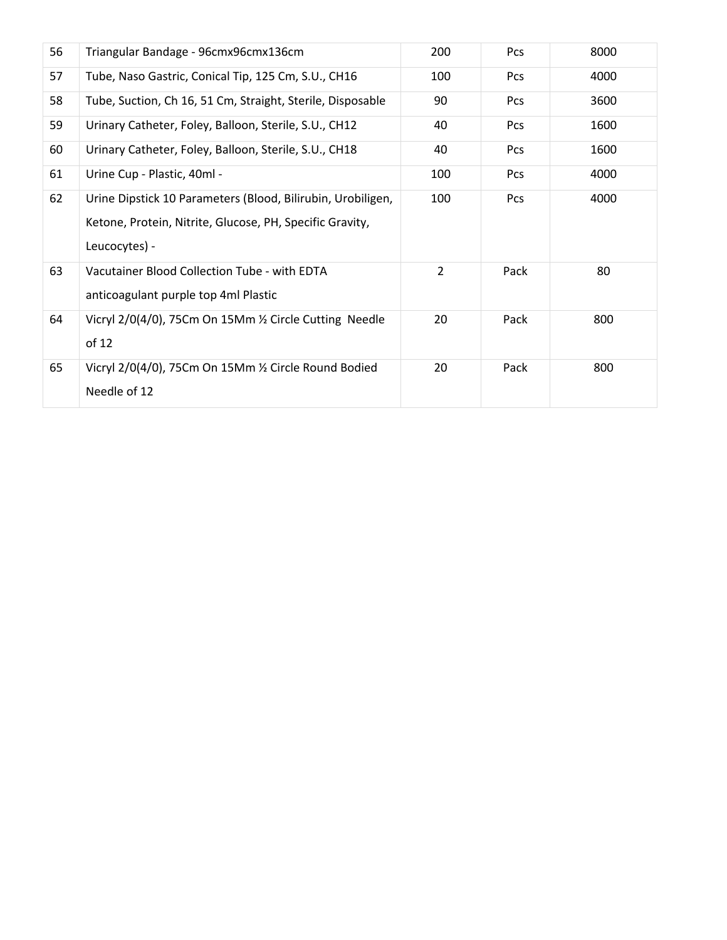| 56 | Triangular Bandage - 96cmx96cmx136cm                                                                                                     | 200            | Pcs  | 8000 |
|----|------------------------------------------------------------------------------------------------------------------------------------------|----------------|------|------|
| 57 | Tube, Naso Gastric, Conical Tip, 125 Cm, S.U., CH16                                                                                      | 100            | Pcs  | 4000 |
| 58 | Tube, Suction, Ch 16, 51 Cm, Straight, Sterile, Disposable                                                                               | 90             | Pcs  | 3600 |
| 59 | Urinary Catheter, Foley, Balloon, Sterile, S.U., CH12                                                                                    | 40             | Pcs  | 1600 |
| 60 | Urinary Catheter, Foley, Balloon, Sterile, S.U., CH18                                                                                    | 40             | Pcs  | 1600 |
| 61 | Urine Cup - Plastic, 40ml -                                                                                                              | 100            | Pcs  | 4000 |
| 62 | Urine Dipstick 10 Parameters (Blood, Bilirubin, Urobiligen,<br>Ketone, Protein, Nitrite, Glucose, PH, Specific Gravity,<br>Leucocytes) - | 100            | Pcs  | 4000 |
| 63 | Vacutainer Blood Collection Tube - with EDTA<br>anticoagulant purple top 4ml Plastic                                                     | $\overline{2}$ | Pack | 80   |
| 64 | Vicryl 2/0(4/0), 75Cm On 15Mm 1/2 Circle Cutting Needle<br>of 12                                                                         | 20             | Pack | 800  |
| 65 | Vicryl 2/0(4/0), 75Cm On 15Mm 1/2 Circle Round Bodied<br>Needle of 12                                                                    | 20             | Pack | 800  |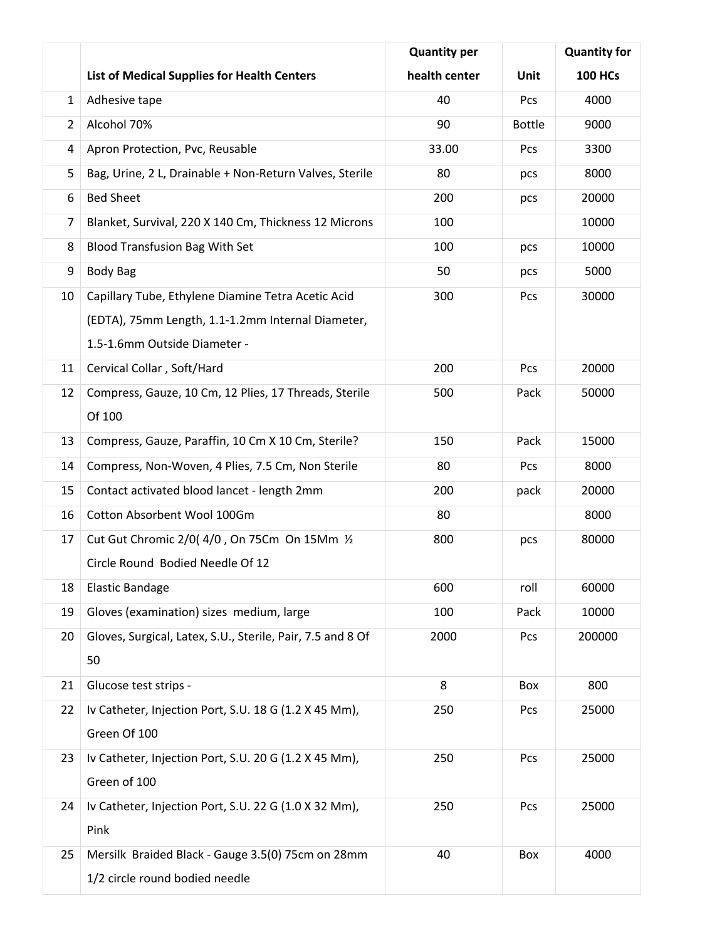|                |                                                            | <b>Quantity per</b> |               | <b>Quantity for</b> |
|----------------|------------------------------------------------------------|---------------------|---------------|---------------------|
|                | <b>List of Medical Supplies for Health Centers</b>         | health center       | <b>Unit</b>   | <b>100 HCs</b>      |
| $\mathbf{1}$   | Adhesive tape                                              | 40                  | Pcs           | 4000                |
| $\overline{2}$ | Alcohol 70%                                                | 90                  | <b>Bottle</b> | 9000                |
| 4              | Apron Protection, Pvc, Reusable                            | 33.00               | Pcs           | 3300                |
| 5              | Bag, Urine, 2 L, Drainable + Non-Return Valves, Sterile    | 80                  | pcs           | 8000                |
| 6              | <b>Bed Sheet</b>                                           | 200                 | pcs           | 20000               |
| 7              | Blanket, Survival, 220 X 140 Cm, Thickness 12 Microns      | 100                 |               | 10000               |
| 8              | <b>Blood Transfusion Bag With Set</b>                      | 100                 | pcs           | 10000               |
| 9              | <b>Body Bag</b>                                            | 50                  | pcs           | 5000                |
| 10             | Capillary Tube, Ethylene Diamine Tetra Acetic Acid         | 300                 | Pcs           | 30000               |
|                | (EDTA), 75mm Length, 1.1-1.2mm Internal Diameter,          |                     |               |                     |
|                | 1.5-1.6mm Outside Diameter -                               |                     |               |                     |
| 11             | Cervical Collar, Soft/Hard                                 | 200                 | Pcs           | 20000               |
| 12             | Compress, Gauze, 10 Cm, 12 Plies, 17 Threads, Sterile      | 500                 | Pack          | 50000               |
|                | Of 100                                                     |                     |               |                     |
| 13             | Compress, Gauze, Paraffin, 10 Cm X 10 Cm, Sterile?         | 150                 | Pack          | 15000               |
| 14             | Compress, Non-Woven, 4 Plies, 7.5 Cm, Non Sterile          | 80                  | Pcs           | 8000                |
| 15             | Contact activated blood lancet - length 2mm                | 200                 | pack          | 20000               |
| 16             | Cotton Absorbent Wool 100Gm                                | 80                  |               | 8000                |
| 17             | Cut Gut Chromic 2/0(4/0, On 75Cm On 15Mm 1/2               | 800                 | pcs           | 80000               |
|                | Circle Round Bodied Needle Of 12                           |                     |               |                     |
| 18             | <b>Elastic Bandage</b>                                     | 600                 | roll          | 60000               |
| 19             | Gloves (examination) sizes medium, large                   | 100                 | Pack          | 10000               |
| 20             | Gloves, Surgical, Latex, S.U., Sterile, Pair, 7.5 and 8 Of | 2000                | Pcs           | 200000              |
|                | 50                                                         |                     |               |                     |
| 21             | Glucose test strips -                                      | 8                   | Box           | 800                 |
| 22             | Iv Catheter, Injection Port, S.U. 18 G (1.2 X 45 Mm),      | 250                 | Pcs           | 25000               |
|                | Green Of 100                                               |                     |               |                     |
| 23             | Iv Catheter, Injection Port, S.U. 20 G (1.2 X 45 Mm),      | 250                 | Pcs           | 25000               |
|                | Green of 100                                               |                     |               |                     |
| 24             | Iv Catheter, Injection Port, S.U. 22 G (1.0 X 32 Mm),      | 250                 | Pcs           | 25000               |
|                | Pink                                                       |                     |               |                     |
| 25             | Mersilk Braided Black - Gauge 3.5(0) 75cm on 28mm          | 40                  | Box           | 4000                |
|                | 1/2 circle round bodied needle                             |                     |               |                     |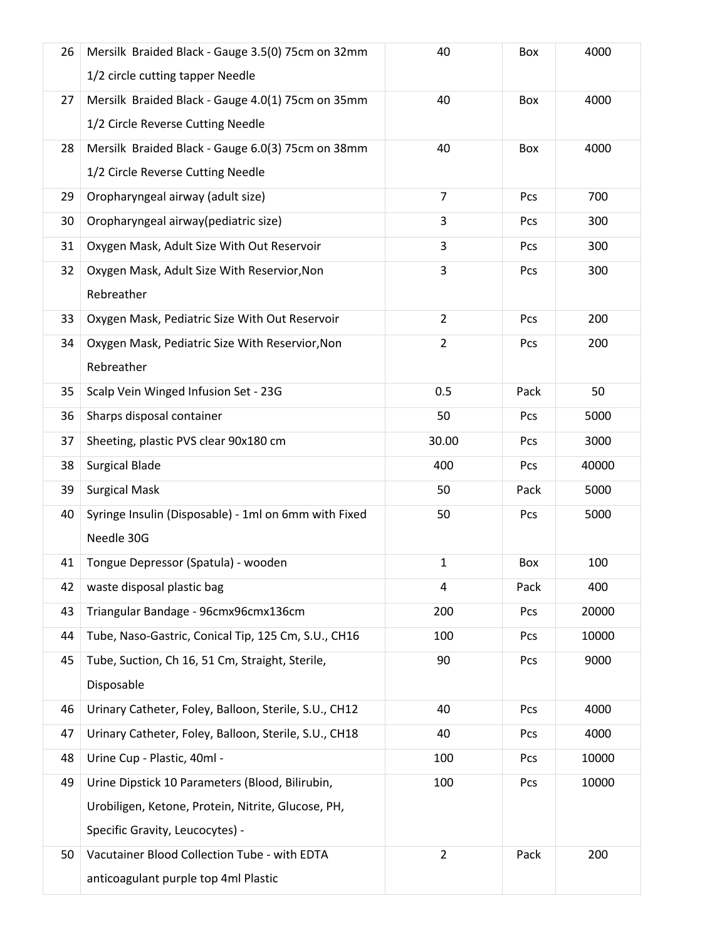| 26 | Mersilk Braided Black - Gauge 3.5(0) 75cm on 32mm<br>1/2 circle cutting tapper Needle  | 40             | Box  | 4000  |
|----|----------------------------------------------------------------------------------------|----------------|------|-------|
| 27 | Mersilk Braided Black - Gauge 4.0(1) 75cm on 35mm<br>1/2 Circle Reverse Cutting Needle | 40             | Box  | 4000  |
| 28 | Mersilk Braided Black - Gauge 6.0(3) 75cm on 38mm<br>1/2 Circle Reverse Cutting Needle | 40             | Box  | 4000  |
| 29 | Oropharyngeal airway (adult size)                                                      | $\overline{7}$ | Pcs  | 700   |
| 30 | Oropharyngeal airway (pediatric size)                                                  | 3              | Pcs  | 300   |
| 31 | Oxygen Mask, Adult Size With Out Reservoir                                             | 3              | Pcs  | 300   |
| 32 | Oxygen Mask, Adult Size With Reservior, Non<br>Rebreather                              | 3              | Pcs  | 300   |
| 33 | Oxygen Mask, Pediatric Size With Out Reservoir                                         | $\overline{2}$ | Pcs  | 200   |
| 34 | Oxygen Mask, Pediatric Size With Reservior, Non<br>Rebreather                          | $\overline{2}$ | Pcs  | 200   |
| 35 | Scalp Vein Winged Infusion Set - 23G                                                   | 0.5            | Pack | 50    |
| 36 | Sharps disposal container                                                              | 50             | Pcs  | 5000  |
| 37 | Sheeting, plastic PVS clear 90x180 cm                                                  | 30.00          | Pcs  | 3000  |
| 38 | <b>Surgical Blade</b>                                                                  | 400            | Pcs  | 40000 |
| 39 | <b>Surgical Mask</b>                                                                   | 50             | Pack | 5000  |
| 40 | Syringe Insulin (Disposable) - 1ml on 6mm with Fixed<br>Needle 30G                     | 50             | Pcs  | 5000  |
| 41 | Tongue Depressor (Spatula) - wooden                                                    | $\mathbf{1}$   | Box  | 100   |
| 42 | waste disposal plastic bag                                                             | 4              | Pack | 400   |
| 43 | Triangular Bandage - 96cmx96cmx136cm                                                   | 200            | Pcs  | 20000 |
| 44 | Tube, Naso-Gastric, Conical Tip, 125 Cm, S.U., CH16                                    | 100            | Pcs  | 10000 |
| 45 | Tube, Suction, Ch 16, 51 Cm, Straight, Sterile,<br>Disposable                          | 90             | Pcs  | 9000  |
| 46 | Urinary Catheter, Foley, Balloon, Sterile, S.U., CH12                                  | 40             | Pcs  | 4000  |
| 47 | Urinary Catheter, Foley, Balloon, Sterile, S.U., CH18                                  | 40             | Pcs  | 4000  |
| 48 | Urine Cup - Plastic, 40ml -                                                            | 100            | Pcs  | 10000 |
| 49 | Urine Dipstick 10 Parameters (Blood, Bilirubin,                                        | 100            | Pcs  | 10000 |
|    | Urobiligen, Ketone, Protein, Nitrite, Glucose, PH,                                     |                |      |       |
|    | Specific Gravity, Leucocytes) -                                                        |                |      |       |
| 50 | Vacutainer Blood Collection Tube - with EDTA                                           | $\overline{2}$ | Pack | 200   |
|    | anticoagulant purple top 4ml Plastic                                                   |                |      |       |